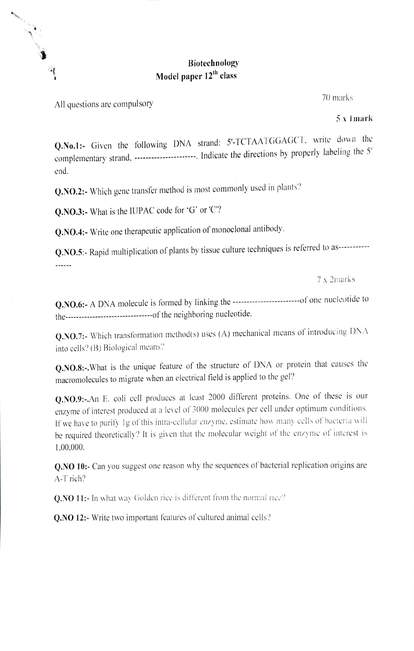# **Biotechnology** Model paper 12<sup>th</sup> class

All questions are compulsory

All Country of the Country of the Country of the Country of the Country of the Country of the Country of the Country of the Country of the Country of the Country of the Country of the Country of the Country of the Country

 $\triangleleft$ 

70 marks

 $5x$  1 mark

Q.No.1:- Given the following DNA strand: 5'-TCTAATGGAGCT, write down the complementary strand, ----------------------. Indicate the directions by properly labeling the 5' end

Q.NO.2:- Which gene transfer method is most commonly used in plants?

Q.NO.3:- What is the IUPAC code for 'G' or 'C"?

Q.NO.4:- Write one therapeutic application of monoclonal antibody.

Q.NO.5:- Rapid multiplication of plants by tissue culture techniques is referred to as----------- $111111111$ 

7 x 2marks

the----------------------------------of the neighboring nucleotide.

Q.NO.7:- Which transformation method(s) uses (A) mechanical means of introducing DNA into cells? (B) Biological means?

Q.NO.8:-. What is the unique feature of the structure of DNA or protein that causes the macromolecules to migrate when an electrical field is applied to the gel?

Q.NO.9:-. An E. coli cell produces at least 2000 different proteins. One of these is our enzyme of interest produced at a level of 3000 molecules per cell under optimum conditions. If we have to purify 1g of this intra-cellular enzyme, estimate how many cells of bacteria will be required theoretically? It is given that the molecular weight of the enzyme of interest is 1,00,000.

O.NO 10:- Can you suggest one reason why the sequences of bacterial replication origins are A-T rich?

**Q.NO 11:-** In what way Golden rice is different from the normal rice?

**O.NO 12:-** Write two important features of cultured animal cells?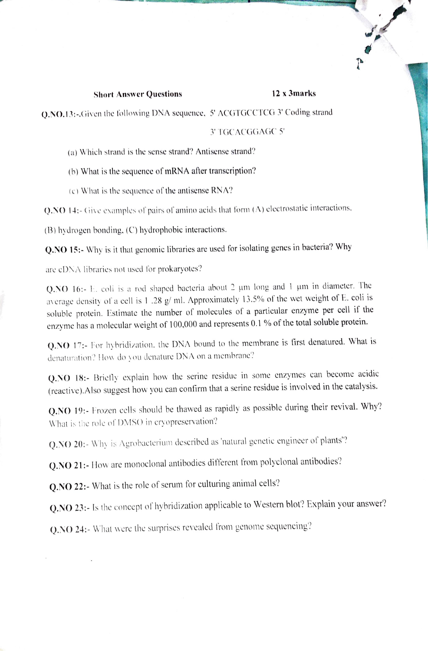## **Short Answer Ouestions**

#### 12 x 3marks

 $\frac{1}{2}$ 

O.NO.13:-.Given the following DNA sequence, 5' ACGTGCCTCG 3' Coding strand

### 3' TGCACGGAGC 5'

(a) Which strand is the sense strand? Antisense strand?

(b) What is the sequence of mRNA after transcription?

(c) What is the sequence of the antisense RNA?

Q.NO 14:- Give examples of pairs of amino acids that form (A) electrostatic interactions,

(B) hydrogen bonding, (C) hydrophobic interactions.

Q.NO 15:- Why is it that genomic libraries are used for isolating genes in bacteria? Why

are cDNA libraries not used for prokaryotes?

Q.NO 16:- E. coli is a rod shaped bacteria about 2 um long and 1 um in diameter. The average density of a cell is 1 .28 g/ ml. Approximately 13.5% of the wet weight of E. coli is soluble protein. Estimate the number of molecules of a particular enzyme per cell if the enzyme has a molecular weight of 100,000 and represents 0.1 % of the total soluble protein.

Q.NO 17:- For hybridization, the DNA bound to the membrane is first denatured. What is denaturation? How do you denature DNA on a membrane?

Q.NO 18:- Briefly explain how the serine residue in some enzymes can become acidic (reactive). Also suggest how you can confirm that a serine residue is involved in the catalysis.

Q.NO 19:- Frozen cells should be thawed as rapidly as possible during their revival. Why? What is the role of DMSO in cryopreservation?

Q.NO 20:- Why is Agrobacterium described as 'natural genetic engineer of plants'?

Q.NO 21:- How are monoclonal antibodies different from polyclonal antibodies?

Q.NO 22:- What is the role of serum for culturing animal cells?

Q.NO 23:- Is the concept of hybridization applicable to Western blot? Explain your answer?

Q.NO 24:- What were the surprises revealed from genome sequencing?